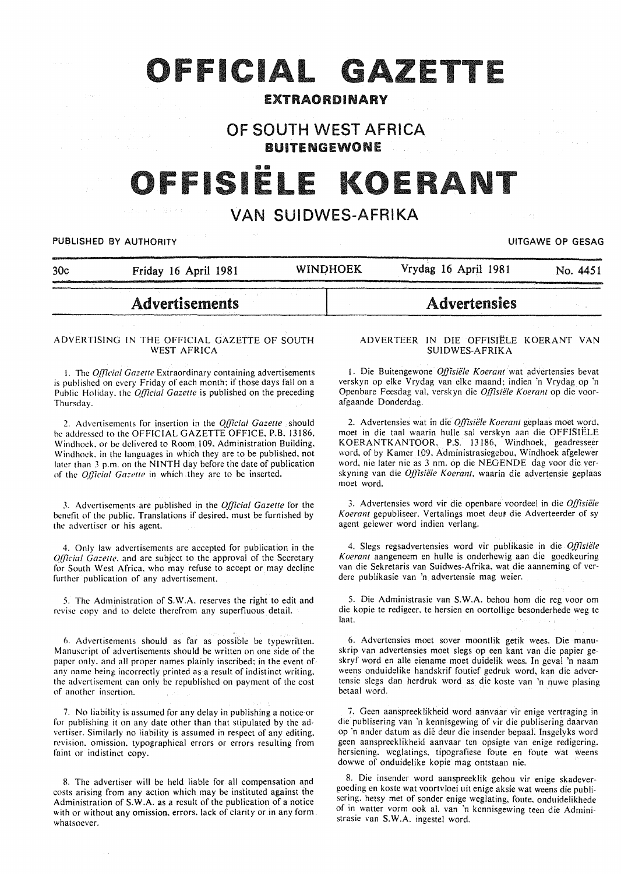# OFFICIAL GAZETTE

### EXTRAORDINARY

## OF SOUTH WEST AFRICA BUITENGEWONE

# FFISIËLE KOEI

# VAN SUIDWES-AFRIKA

#### PUBLISHED BY AUTHORITY **EXECUTE A SECURE 2018 IN THE SECULAR WAS CONSUMING TO A SECURE 2019**

| 30 <sub>c</sub> | Friday 16 April 1981 | <b>WINDHOEK</b> | Vrydag 16 April 1981 | No. 4451 |
|-----------------|----------------------|-----------------|----------------------|----------|
|                 |                      |                 |                      |          |
|                 |                      |                 |                      |          |

# Advertisements

#### ADVERTISING IN THE OFFICIAL GAZETTE OF SOUTH WEST AFRICA

1. The *Official Gazette* Extraordinary containing advertisements is published on every Friday of each month; if those days fall on a Public Holiday. the *Official Gazette* is published on the preceding Thursday.

2. Advertisements for insertion in the *Official Gazette* should be addressed to the OFFICIAL GAZETTE OFFICE. P.B. 13186, Windhoek, or be delivered to Room 109, Administration Building, Windhoek. in the languages in which they are to be published, not later than *3* p.m. on the NINTH day before the date of publication of the *Official Gazette* in which they are to be inserted.

J. Advertisements are published in the *Official Gazette* for the benefit of the public. Translations if desired. must be furnished by the advertiser or his agent.

4. Only law advertisements are accepted for publication in the *Official Gazette*, and are subject to the approval of the Secretary for South West Africa. who may refuse to accept or may decline further publication of any advertisement.

5. The Administration of S.W.A. reserves the right to edit and revise copy and to delete therefrom any superfluous detail.

6. Advertisements should as far as possible be typewritten. Manuscript of advertisements should be written on one side of the paper only. and all proper names plainly inscribed: in the event of any name being incorrectly printed as a result of indistinct writing. the advertisement can only be republished on payment of the cost of another insertion.

7. No liability is assumed for any delay in publishing a notice or for publishing it on any date other than that stipulated by the advertiser. Similarly no liability is assumed in respect of any editing. revision. omission. typographical errors or errors resulting from faint or indistinct copy.

8. The advertiser will be held liable for all compensation and costs arising from any action which may be instituted against the Administration of S.W.A. as a result of the publication of a notice with or without any omission. errors. lack of clarity or in any form whatsoever.

#### ADVERTEER IN DIE OFFISIELE KOERANT VAN SUIDWES-AFRIKA

**Advertensies** 

1. Die Buitengewone *Offisiele Koerant* wat advertensies bevat verskyn op elke Vrydag van elke maand; indien 'n Vrydag op 'n Openbare Feesdag val. verskyn die Offisiële Koerant op die voorafgaande Donderdag.

2. Advertensies wat in die *Offisiele Koerant* geplaas moet word, moet in die taal waarin hulle sal verskyn aan die OFFISIELE KOERANTKANTOOR, P.S. !3186, Windhoek. geadresseer word, of by Kamer 109. Administrasiegebou, Windhoek afgelewer word. nie later nie as 3 nm. op die NEGENDE dag voor die verskyning van die *Offisiële Koerant*, waarin die advertensie geplaas moet word.

3. Advertensies word vir die openbare voordeel in die *Offisie/e Koerant* gepubliseer. Vertalings moet deut die Adverteerder of sy agent gelewer word indien verlang.

4. Slegs regsadvertensies word vir publikasie in die *Offisie/e Koerant* aangeneem en hulle is onderhewig aan die goedkeuring van die Sekretaris van Suidwes-Afrika. wat die aanneming of verdere publikasie van 'n advertensie mag weier.

5. Die Administrasie van S.W.A. behou hom die reg voor om die kopie te redigeer. te hersien en oortollige besonderhede weg te laat.

6. Advertensies moet sover moontlik getik wees. Die manuskrip van advertensies moet slegs op een kant van die papier geskryf word en aile eiename moet duidelik wees. In geval 'n naam weens onduidelike handskrif foutief gedruk word, kan die advertensie slegs dan herdruk word as die koste van 'n nuwe plasing betaal word.

7. Geen aanspreeklikheid word aanvaar vir enige vertraging in die publisering van 'n kennisgewing of vir die publisering daarvan op 'n ander datum as die deur die insender bepaal. Insgelyks word geen aanspreeklikheid aanvaar ten opsigte van enige redigering. hersiening. weglatings. tipografiese foute en foute wat weens dowwe of onduidelike kopie mag ontstaan nie.

8. Die insender word aanspreeklik gehou vir enige skadevergoeding en koste wat voortvloei uit enige aksie wat weens die publisering. hetsy met of sonder enige weglating, foute. onduidelikhede of in watter vorm ook al. van 'n kennisgewing teen die Administrasie van S.W.A. ingestel word.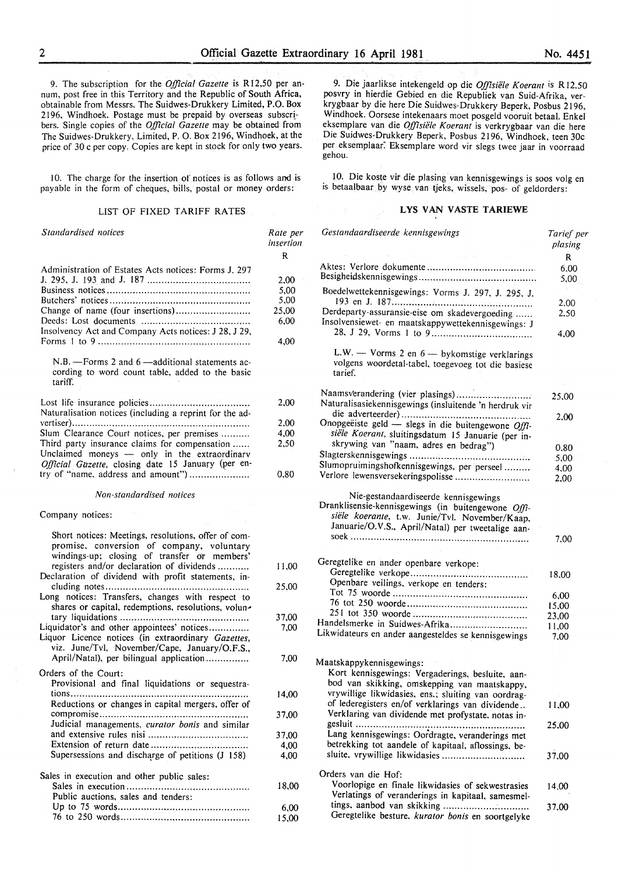9. The subscription for the *Official Gazette* is R12,50 per annum, post free in this Territory and the Republic of South Africa, obtainable from Messrs. The Suidwes-Drukkery Limited, P.O. Box 2196, Windhoek. Postage must be prepaid by overseas subscribers. Single copies of the *Official Gazette* may be obtained from The Suidwes-Drukkery, Limited, P. 0. Box 2196, Windhoek, at the price of 30 c per copy. Copies are kept in stock for only two years.

10. The charge for the insertion of notices is as follows and is payable in the form of cheques, bills, postal or money orders:

#### LIST OF FIXED TARIFF RATES

| Standardised notices                                                                                                                                                                          | Rate per<br>insertion<br>R                    |
|-----------------------------------------------------------------------------------------------------------------------------------------------------------------------------------------------|-----------------------------------------------|
| Administration of Estates Acts notices: Forms J. 297<br>Change of name (four insertions)<br>Insolvency Act and Company Acts notices: J 28, J 29,                                              | 2,00<br>5,00<br>5,00<br>25,00<br>6,00<br>4.00 |
| N.B. - Forms 2 and 6 - additional statements ac-<br>cording to word count table, added to the basic<br>tariff.                                                                                |                                               |
| Naturalisation notices (including a reprint for the ad-                                                                                                                                       | 2,00                                          |
|                                                                                                                                                                                               | 2,00                                          |
| Slum Clearance Court notices, per premises                                                                                                                                                    | 4,00                                          |
| Third party insurance claims for compensation<br>Unclaimed moneys - only in the extraordinary<br>Official Gazette, closing date 15 January (per en-<br>try of "name, address and amount")     | 2,50                                          |
|                                                                                                                                                                                               | 0,80                                          |
| Non-standardised notices                                                                                                                                                                      |                                               |
| Company notices:                                                                                                                                                                              |                                               |
| Short notices: Meetings, resolutions, offer of com-<br>promise, conversion of company, voluntary<br>windings-up; closing of transfer or members'<br>registers and/or declaration of dividends | 11,00                                         |
| Declaration of dividend with profit statements, in-<br>Long notices: Transfers, changes with respect to                                                                                       | 25,00                                         |
| shares or capital, redemptions, resolutions, volun-                                                                                                                                           |                                               |
| Liquidator's and other appointees' notices<br>Liquor Licence notices (in extraordinary Gazettes,<br>viz. June/Tvl, November/Cape, January/O.F.S.,                                             | 37,00<br>7,00                                 |
| April/Natal), per bilingual application                                                                                                                                                       | 7,00                                          |
| Orders of the Court:                                                                                                                                                                          |                                               |
| Provisional and final liquidations or sequestra-<br>Reductions or changes in capital mergers, offer of                                                                                        | 14,00                                         |
| Judicial managements, curator bonis and similar                                                                                                                                               | 37,00                                         |
|                                                                                                                                                                                               | 37,00                                         |
|                                                                                                                                                                                               | 4,00                                          |
| Supersessions and discharge of petitions (J 158).                                                                                                                                             | 4,00                                          |
| Sales in execution and other public sales:                                                                                                                                                    |                                               |
| Public auctions, sales and tenders:                                                                                                                                                           | 18,00                                         |
|                                                                                                                                                                                               | 6,00                                          |
|                                                                                                                                                                                               | 15,00                                         |

9. Die jaarlikse intekengeld op die *Offisiele Koerant* is R 12.50 posvry in hierdie Gebied en die Republiek van Suid-Afrika, verkrygbaar by die here Die Suidwes-Drukkery Beperk, Posbus 2196, Windhoek. Oorsese intekenaars moet posgeld vooruit betaal. Enkel eksemplare van die *Offisiele Koerant* is verkrygbaar van die here Die Suidwes-Drukkery Beperk, Posbus 2196, Windhoek, teen 30c per eksemplaar: Eksemplare word vir slegs twee jaar in voorraad gehou.

10. Die koste vir die plasing van kennisgewings is soos volg en is betaalbaar by wyse van tjeks, wissels, pos- of geldorders:

#### LYS VAN VASTE TARIEWE

| Gestandaardiseerde kennisgewings                                                                                                                                                                  | Tarief per<br>plasing |
|---------------------------------------------------------------------------------------------------------------------------------------------------------------------------------------------------|-----------------------|
|                                                                                                                                                                                                   | R                     |
|                                                                                                                                                                                                   | 6,00                  |
|                                                                                                                                                                                                   | 5,00                  |
| Boedelwettekennisgewings: Vorms J. 297, J. 295, J.                                                                                                                                                |                       |
| Derdeparty-assuransie-eise om skadevergoeding                                                                                                                                                     | 2.00<br>2,50          |
| Insolvensiewet- en maatskappywettekennisgewings: J                                                                                                                                                |                       |
|                                                                                                                                                                                                   | 4,00                  |
| L.W. - Vorms 2 en 6 - bykomstige verklarings<br>volgens woordetal-tabel, toegevoeg tot die basiese<br>tarief.                                                                                     |                       |
| Naamsverandering (vier plasings)                                                                                                                                                                  |                       |
| Naturalisasiekennisgewings (insluitende 'n herdruk vir                                                                                                                                            | 25,00                 |
|                                                                                                                                                                                                   | 2.00                  |
| Onopgeëiste geld - slegs in die buitengewone Offi-<br>siële Koerant, sluitingsdatum 15 Januarie (per in-                                                                                          |                       |
| skrywing van "naam, adres en bedrag")                                                                                                                                                             |                       |
|                                                                                                                                                                                                   | 0.80                  |
| Slumopruimingshofkennisgewings, per perseel                                                                                                                                                       | 5,00                  |
| Verlore lewensversekeringspolisse                                                                                                                                                                 | 4,00<br>2,00          |
|                                                                                                                                                                                                   |                       |
| Nie-gestandaardiseerde kennisgewings<br>Dranklisensie-kennisgewings (in buitengewone Offi-<br>siële koerante, t.w. Junie/Tvl. November/Kaap,<br>Januarie/O.V.S., April/Natal) per tweetalige aan- | 7.00                  |
|                                                                                                                                                                                                   |                       |
| Geregtelike en ander openbare verkope:                                                                                                                                                            |                       |
|                                                                                                                                                                                                   | 18,00                 |
| Openbare veilings, verkope en tenders:                                                                                                                                                            |                       |
|                                                                                                                                                                                                   | 6,00                  |
|                                                                                                                                                                                                   | 15,00                 |
|                                                                                                                                                                                                   | 23,00                 |
| Handelsmerke in Suidwes-Afrika                                                                                                                                                                    | 11,00                 |
| Likwidateurs en ander aangesteldes se kennisgewings                                                                                                                                               | 7,00                  |
|                                                                                                                                                                                                   |                       |
| Maatskappykennisgewings:                                                                                                                                                                          |                       |
| Kort kennisgewings: Vergaderings, besluite, aan-                                                                                                                                                  |                       |
| bod van skikking, omskepping van maatskappy,                                                                                                                                                      |                       |
| vrywillige likwidasies, ens.; sluiting van oordrag-                                                                                                                                               |                       |
| of lederegisters en/of verklarings van dividende                                                                                                                                                  | 11,00                 |
| Verklaring van dividende met profystate, notas in-                                                                                                                                                |                       |
|                                                                                                                                                                                                   | 25.00                 |
| Lang kennisgewings: Oordragte, veranderings met                                                                                                                                                   |                       |
| betrekking tot aandele of kapitaal, aflossings, be-                                                                                                                                               |                       |
| sluite, vrywillige likwidasies                                                                                                                                                                    | 37,00                 |
| Orders van die Hof:                                                                                                                                                                               |                       |
| Voorlopige en finale likwidasies of sekwestrasies                                                                                                                                                 | 14.00                 |
| Verlatings of veranderings in kapitaal, samesmel-                                                                                                                                                 |                       |
|                                                                                                                                                                                                   | 37,00                 |
| Geregtelike besture, kurator bonis en soortgelyke                                                                                                                                                 |                       |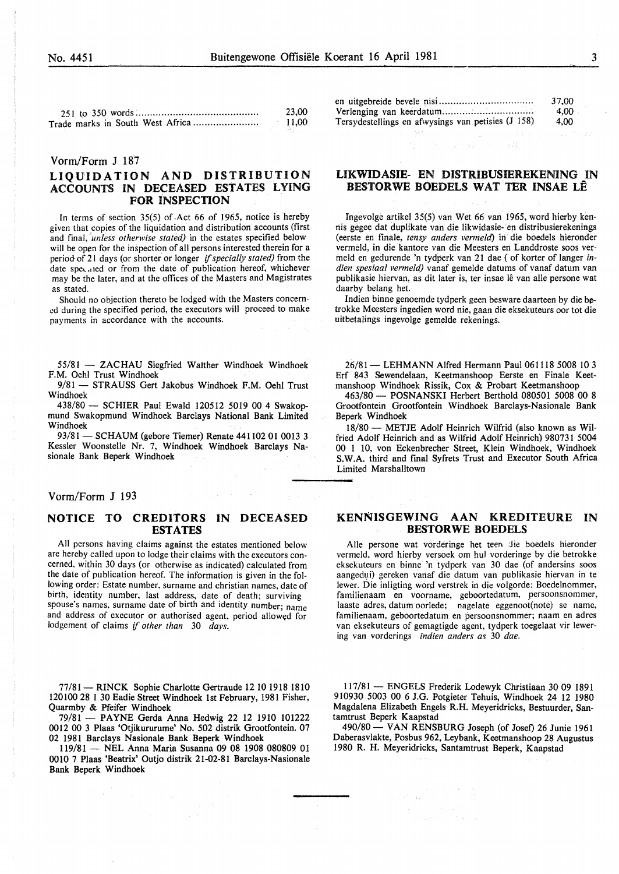| I<br>٦<br>v |
|-------------|

|                                  | 23.00 |
|----------------------------------|-------|
| Trade marks in South West Africa | 11,00 |

#### Vorm/Form J 187

#### LIQUIDATION AND DISTRIBUTION ACCOUNTS IN DECEASED ESTATES LYING FOR INSPECTION

In terms of section 35(5) of .Act 66 of 1965, notice is hereby given that copies of the liquidation and distribution accounts (first and final, *unless otherwise stated*) in the estates specified below will be open for the inspection of all persons interested therein for a period of 21 days (or shorter or longer if *specially stated)* from the date spe, .!led or from the date of publication hereof, whichever may be the later, and at the offices of the Masters and Magistrates as stated.

Should no objection thereto be lodged with the Masters concerned during the specified period, the executors will proceed to make payments in accordance with the accounts.

55/81 - ZACHAU Siegfried Walther Windhoek Windhoek F.M. Oehl Trust Windhoek

9/81 - STRAUSS Gert Jakobus Windhoek F.M. Oehl Trust Windhoek

438/80 - SCHIER Paul Ewald 120512 5019 00 4 Swakopmund Swakopmund Windhoek Barclays National Bank Limited Windhoek

93/81 - SCHAUM (gebore Tiemer) Renate 441102 01 0013 3 Kessler Woonstelle Nr. 7, Windhoek Windhoek Barclays Nasionale Bank Beperk Windhoek

#### Yorm/Form J 193

#### NOTICE TO CREDITORS IN DECEASED ESTATES

All persons having claims against the estates mentioned below are hereby called upon to lodge their claims with the executors concerned, within 30 days (or otherwise as indicated) calculated from the date of publication hereof. The information is given in the following order: Estate number, surname and christian names, date of birth, identity number, last address, date of death; surviving spouse's names, surname date of birth and identity number; name and address of executor or authorised agent, period allowed for lodgement of claims if *other than* 30 *days.* 

77/81 - RINCK Sophie Charlotte Gertraude 12 10 1918 1810 120IOO 28 I 30 Eadie Street Windhoek 1st February, 198I Fisher, Quarmby & Pfeifer Windhoek

79/81- PAYNE Gerda Anna Hedwig 22 12 1910 101222 0012 00 3 Plaas 'Otjikururume' No. 502 distrik Grootfontein. 07 02 1981 Barclays Nasionale Bank Beperk Windhoek

II9/81- NEL Anna Maria Susanna 09 08 1908 080809 01 0010 7 Plaas 'Beatrix' Outjo distrik 21-02-81 Barclays-Nasionale Bank Beperk Windhoek

|                                                    | 37.00 |
|----------------------------------------------------|-------|
|                                                    | 4.00  |
| Tersydestellings en afwysings van petisies (J 158) | 4.00  |

#### LIKWIDASIE- EN DISTRIBUSIEREKENING IN BESTORWE BOEDELS WAT TER INSAE LE

Ingevolge artikel 35(5) van Wet 66 van 1965, word hierby kennis gegee dat duplikate van die likwidasie- en distribusierekenings (eerste en finale, *tensy anders vermeld)* in die boedels hieronder vermeld, in die kantore van die Meesters en Landdroste soos vermeld en gedurende 'n tydperk van 21 dae ( of korter of Ianger *indien spesiaa/ vermeld)* vanaf gemelde datums of vanaf datum van publikasie hiervan, as dit later is, ter insae lê van alle persone wat daarby belang het.

Indien binne genoemde tydperk geen besware daarteen by die betrokke Meesters ingedien word nie, gaan die eksekuteurs oor tot die uitbetalings ingevolge gemelde rekenings.

26/81- LEHMANN Alfred Hermann Paul 061118 5008 10 3 Erf 843 Sewendelaan, Keetmanshoop Eerste en Finale Keetmanshoop Windhoek Rissik, Cox & Probart Keetmanshoop

463/80 - POSNANSKI Herbert Berthold 080501 5008 00 8 Grootfontein Grootfontein Windhoek Barclays-Nasionale Bank Beperk Windhoek

18/80 - METJE Adolf Heinrich Wilfrid (also known as Wilfried Adolf Heinrich and as Wilfrid Adolf Heinrich) 980731 5004 00 1 10, von Eckenbrecher Street, Klein Windhoek, Windhoek S.W.A. third and final Syfrets Trust and Executor South Africa Limited Marshalltown

#### KENNISGEWING AAN KREDITEURE IN BESTORWE BOEDELS

Alle persone wat vorderinge het teen die boedels hieronder vermeld. word hierby versoek om hul vorderinge by die betrokke eksekuteurs en binne 'n tydperk van 30 dae (of andersins soos aangedui) gereken vanaf die datum van publikasie hiervan in te !ewer. Die inligting word verstrek in die volgorde: Boedelnommer, familienaam en voorname, geboortedatum, persoonsnommer, laaste adres, datum oorlede; nagelate eggenoot(note) se name, familienaam, geboortedatum en persoonsnommer; naam en adres van eksekuteurs of gemagtigde agent, tydperk toegelaat vir lewering van vorderings *indien anders as* 30 *dae.* 

II7/81- ENGELS Frederik Lodewyk Christiaan 30 09 1891 910930 5003 00 6 J.G. Potgieter Tehuis, Windhoek 24 12 1980 Magdalena Elizabeth Engels R.H. Meyeridricks, Bestuurder, Santamtrust Beperk Kaapstad

490/80- VAN RENSBURG Joseph (of Josef) 26 Junie 1961 Daberasvlakte, Posbus 962, Leybank, Keetmanshoop 28 Augustus 1980 R. H. Meyeridricks, Santamtrust Beperk, Kaapstad